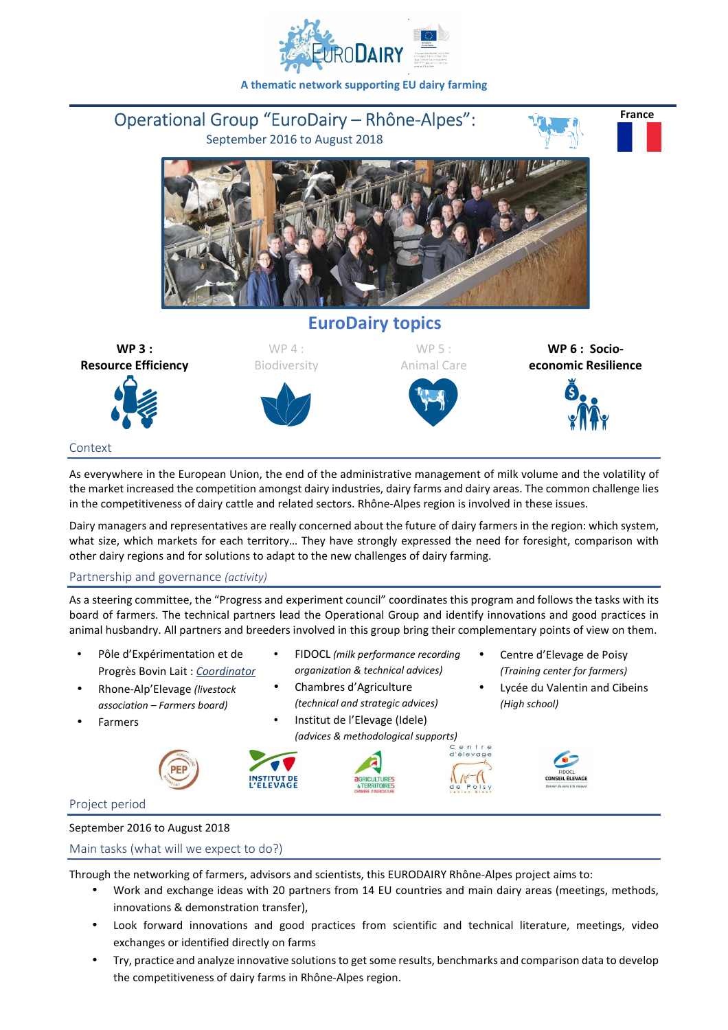

**A thematic network supporting EU dairy farming** 



As everywhere in the European Union, the end of the administrative management of milk volume and the volatility of the market increased the competition amongst dairy industries, dairy farms and dairy areas. The common challenge lies in the competitiveness of dairy cattle and related sectors. Rhône-Alpes region is involved in these issues.

Dairy managers and representatives are really concerned about the future of dairy farmers in the region: which system, what size, which markets for each territory… They have strongly expressed the need for foresight, comparison with other dairy regions and for solutions to adapt to the new challenges of dairy farming.

# Partnership and governance *(activity)*

As a steering committee, the "Progress and experiment council" coordinates this program and follows the tasks with its board of farmers. The technical partners lead the Operational Group and identify innovations and good practices in animal husbandry. All partners and breeders involved in this group bring their complementary points of view on them.

- Pôle d'Expérimentation et de Progrès Bovin Lait : *Coordinator*
- Rhone-Alp'Elevage *(livestock association – Farmers board)*
- **Farmers**



# • FIDOCL *(milk performance recording organization & technical advices)*

- Chambres d'Agriculture *(technical and strategic advices)*  • Institut de l'Elevage (Idele)
- *(advices & methodological supports)*





- Centre d'Elevage de Poisy *(Training center for farmers)*
- Lycée du Valentin and Cibeins *(High school)*



### Project period

### September 2016 to August 2018

### Main tasks (what will we expect to do?)

Through the networking of farmers, advisors and scientists, this EURODAIRY Rhône-Alpes project aims to:

- Work and exchange ideas with 20 partners from 14 EU countries and main dairy areas (meetings, methods, innovations & demonstration transfer),
- Look forward innovations and good practices from scientific and technical literature, meetings, video exchanges or identified directly on farms
- Try, practice and analyze innovative solutions to get some results, benchmarks and comparison data to develop the competitiveness of dairy farms in Rhône-Alpes region.